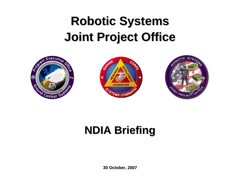# **Robotic Systems Robotic Systems Joint Project Office Joint Project Office**







## **NDIA Briefing NDIA Briefing**

**30 October, 2007 30 October, 2007**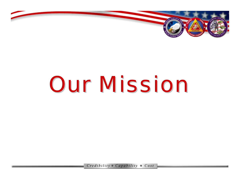

# *Our Mission Our Mission*

Credibility Capability Cost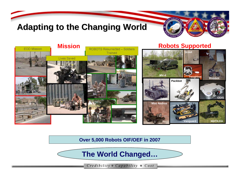### **Adapting to the Changing World Adapting to the Changing World**







**Over 5,000 Robots OIF/OEF in 2007**

**The World Changed…**

 $Credibility \bullet Capability \bullet Cost$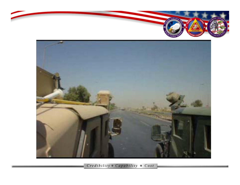

 $Credibility \bullet Capability \bullet Cost$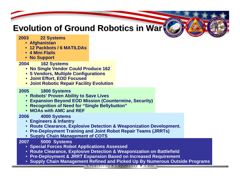### **Evolution of Ground Robotics in War Evolution of Ground Robotics in War**

#### **2003 22 Systems**

- **Afghanistan**
- **12 Packbots / 6 MATILDAs**
- **4 Mini Flails**
- **No Support**
- **2004 162 Systems**
	- **No Single Vendor Could Produce 162**
	- **5 Vendors, Multiple Configurations**
	- **Joint Effort, EOD Focused**
	- **Joint Robotic Repair Facility Evolution**

#### **2005 1800 Systems**

- **Robots' Proven Ability to Save Lives**
- **Expansion Beyond EOD Mission (Countermine, Security)**
- **Recognition of Need for "Single Bellybutton"**
- **MOAs with AMC and REF**

#### **2006 4000 Systems**

- **Engineers & Infantry**
- **Route Clearance, Explosive Detection & Weaponization Development.**
- **Pre-Deployment Training and Joint Robot Repair Teams (JRRTs)**
- **Supply Chain Management of COTS**

#### **2007 5000 Systems**

- **Special Forces Robot Applications Assessed**
- **Route Clearance, Explosive Detection & Weaponization on Battlefield**
- **Pre-Deployment & JRRT Expansion Based on Increased Requirement**
- **Supply Chain Management Refined and Picked Up By Numerous Outside Programs**

Credibility Capability Cost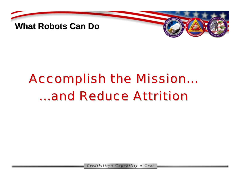



# **Accomplish the Mission...** ...and Reduce Attrition

 $Credibility \bullet Capability \bullet Cost$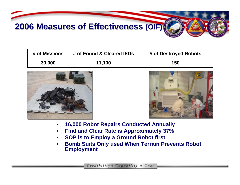

| # of Missions | # of Found & Cleared IEDs | # of Destroyed Robots |
|---------------|---------------------------|-----------------------|
| 30,000        | 11.100                    | 150                   |





- **16,000 Robot Repairs Conducted Annually**
- **Find and Clear Rate is Approximately 37%**
- **SOP is to Employ a Ground Robot first**
- **Bomb Suits Only used When Terrain Prevents Robot Employment**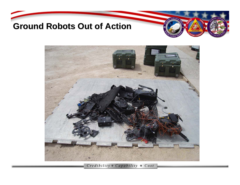





Credibility • Capability • Cost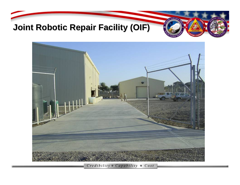### **Joint Robotic Repair Facility (OIF) Joint Robotic Repair Facility (OIF)**



Credibility . Capability . Cost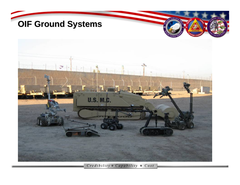### **OIF Ground Systems OIF Ground Systems**



Credibility • Capability • Cost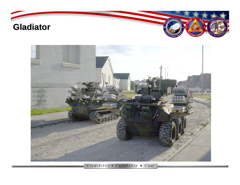





Credibility . Capability . Cost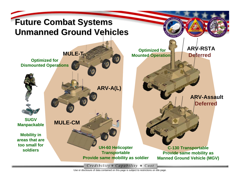

Use or disclosure of data contained on this page is subject to restrictions on title page.